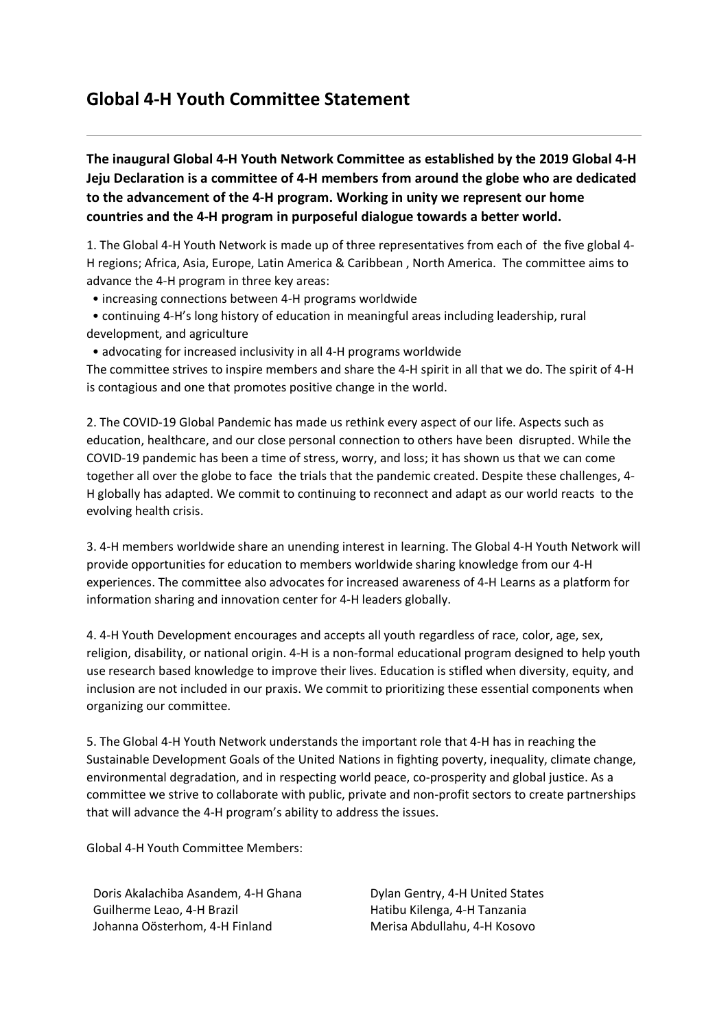## **Global 4-H Youth Committee Statement**

**The inaugural Global 4-H Youth Network Committee as established by the 2019 Global 4-H Jeju Declaration is a committee of 4-H members from around the globe who are dedicated to the advancement of the 4-H program. Working in unity we represent our home countries and the 4-H program in purposeful dialogue towards a better world.**

1. The Global 4-H Youth Network is made up of three representatives from each of the five global 4- H regions; Africa, Asia, Europe, Latin America & Caribbean , North America. The committee aims to advance the 4-H program in three key areas:

- increasing connections between 4-H programs worldwide
- continuing 4-H's long history of education in meaningful areas including leadership, rural development, and agriculture
- advocating for increased inclusivity in all 4-H programs worldwide

The committee strives to inspire members and share the 4-H spirit in all that we do. The spirit of 4-H is contagious and one that promotes positive change in the world.

2. The COVID-19 Global Pandemic has made us rethink every aspect of our life. Aspects such as education, healthcare, and our close personal connection to others have been disrupted. While the COVID-19 pandemic has been a time of stress, worry, and loss; it has shown us that we can come together all over the globe to face the trials that the pandemic created. Despite these challenges, 4- H globally has adapted. We commit to continuing to reconnect and adapt as our world reacts to the evolving health crisis.

3. 4-H members worldwide share an unending interest in learning. The Global 4-H Youth Network will provide opportunities for education to members worldwide sharing knowledge from our 4-H experiences. The committee also advocates for increased awareness of 4-H Learns as a platform for information sharing and innovation center for 4-H leaders globally.

4. 4-H Youth Development encourages and accepts all youth regardless of race, color, age, sex, religion, disability, or national origin. 4-H is a non-formal educational program designed to help youth use research based knowledge to improve their lives. Education is stifled when diversity, equity, and inclusion are not included in our praxis. We commit to prioritizing these essential components when organizing our committee.

5. The Global 4-H Youth Network understands the important role that 4-H has in reaching the Sustainable Development Goals of the United Nations in fighting poverty, inequality, climate change, environmental degradation, and in respecting world peace, co-prosperity and global justice. As a committee we strive to collaborate with public, private and non-profit sectors to create partnerships that will advance the 4-H program's ability to address the issues.

Global 4-H Youth Committee Members:

Doris Akalachiba Asandem, 4-H Ghana Dylan Gentry, 4-H United States Guilherme Leao, 4-H Brazil **Hatibu Kilenga, 4-H Tanzania** Johanna Oösterhom, 4-H Finland Merisa Abdullahu, 4-H Kosovo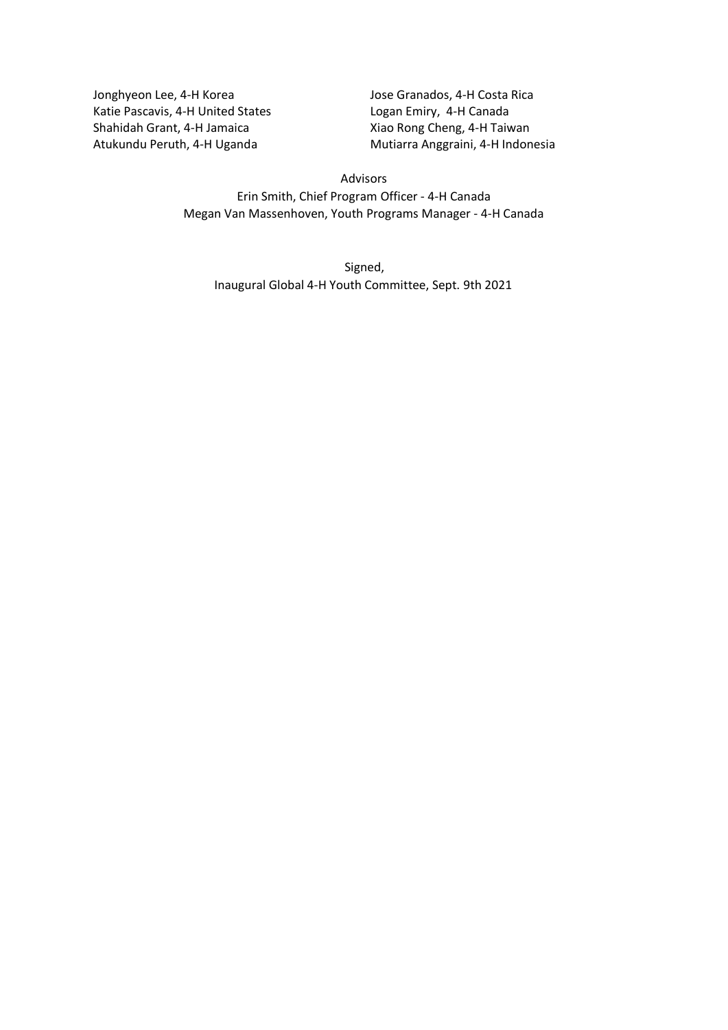Jonghyeon Lee, 4-H Korea Jose Granados, 4-H Costa Rica Katie Pascavis, 4-H United States Logan Emiry, 4-H Canada Shahidah Grant, 4-H Jamaica Xiao Rong Cheng, 4-H Taiwan

Atukundu Peruth, 4-H Uganda Mutiarra Anggraini, 4-H Indonesia

## Advisors

Erin Smith, Chief Program Officer - 4-H Canada Megan Van Massenhoven, Youth Programs Manager - 4-H Canada

Signed, Inaugural Global 4-H Youth Committee, Sept. 9th 2021